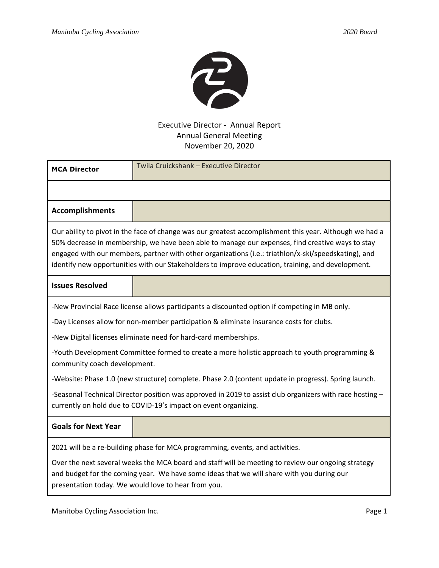

## Executive Director - Annual Report Annual General Meeting November 20, 2020

| <b>MCA Director</b>                                                                                                                                                                                                                                                                                                                                                                                                      | Twila Cruickshank - Executive Director |
|--------------------------------------------------------------------------------------------------------------------------------------------------------------------------------------------------------------------------------------------------------------------------------------------------------------------------------------------------------------------------------------------------------------------------|----------------------------------------|
|                                                                                                                                                                                                                                                                                                                                                                                                                          |                                        |
| <b>Accomplishments</b>                                                                                                                                                                                                                                                                                                                                                                                                   |                                        |
| Our ability to pivot in the face of change was our greatest accomplishment this year. Although we had a<br>50% decrease in membership, we have been able to manage our expenses, find creative ways to stay<br>engaged with our members, partner with other organizations (i.e.: triathlon/x-ski/speedskating), and<br>identify new opportunities with our Stakeholders to improve education, training, and development. |                                        |
| <b>Issues Resolved</b>                                                                                                                                                                                                                                                                                                                                                                                                   |                                        |
| -New Provincial Race license allows participants a discounted option if competing in MB only.                                                                                                                                                                                                                                                                                                                            |                                        |
| -Day Licenses allow for non-member participation & eliminate insurance costs for clubs.                                                                                                                                                                                                                                                                                                                                  |                                        |
| -New Digital licenses eliminate need for hard-card memberships.                                                                                                                                                                                                                                                                                                                                                          |                                        |
| -Youth Development Committee formed to create a more holistic approach to youth programming &<br>community coach development.                                                                                                                                                                                                                                                                                            |                                        |
| -Website: Phase 1.0 (new structure) complete. Phase 2.0 (content update in progress). Spring launch.                                                                                                                                                                                                                                                                                                                     |                                        |
| -Seasonal Technical Director position was approved in 2019 to assist club organizers with race hosting $-$<br>currently on hold due to COVID-19's impact on event organizing.                                                                                                                                                                                                                                            |                                        |
| <b>Goals for Next Year</b>                                                                                                                                                                                                                                                                                                                                                                                               |                                        |
| 2021 will be a re-building phase for MCA programming, events, and activities.                                                                                                                                                                                                                                                                                                                                            |                                        |
| Over the next several weeks the MCA board and staff will be meeting to review our ongoing strategy<br>and budget for the coming year. We have some ideas that we will share with you during our<br>presentation today. We would love to hear from you.                                                                                                                                                                   |                                        |

Manitoba Cycling Association Inc. **Page 1** Association Inc.